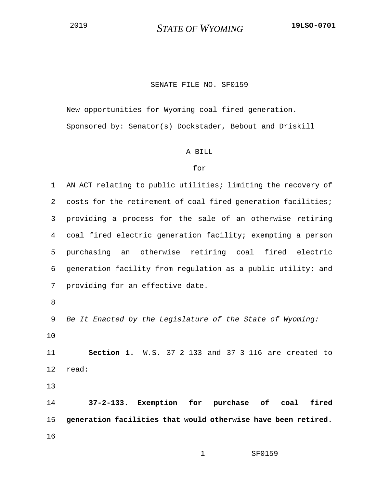<sup>2019</sup> *STATE OF WYOMING* **19LSO-0701**

## SENATE FILE NO. SF0159

New opportunities for Wyoming coal fired generation. Sponsored by: Senator(s) Dockstader, Bebout and Driskill

## A BILL

## for

1 AN ACT relating to public utilities; limiting the recovery of 2 costs for the retirement of coal fired generation facilities; 3 providing a process for the sale of an otherwise retiring 4 coal fired electric generation facility; exempting a person 5 purchasing an otherwise retiring coal fired electric 6 generation facility from regulation as a public utility; and 7 providing for an effective date.

8

9 *Be It Enacted by the Legislature of the State of Wyoming:* 10

11 **Section 1.** W.S. 37-2-133 and 37-3-116 are created to 12 read:

13

14 **37-2-133. Exemption for purchase of coal fired**  15 **generation facilities that would otherwise have been retired.** 16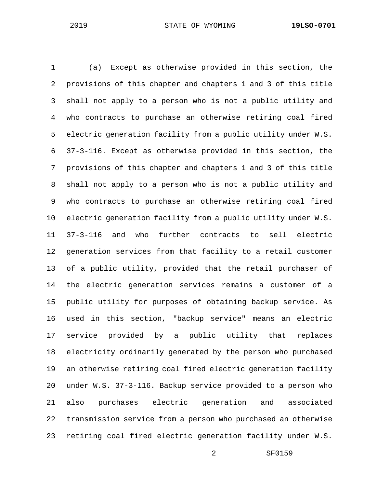1 (a) Except as otherwise provided in this section, the 2 provisions of this chapter and chapters 1 and 3 of this title 3 shall not apply to a person who is not a public utility and 4 who contracts to purchase an otherwise retiring coal fired 5 electric generation facility from a public utility under W.S. 6 37-3-116. Except as otherwise provided in this section, the 7 provisions of this chapter and chapters 1 and 3 of this title 8 shall not apply to a person who is not a public utility and 9 who contracts to purchase an otherwise retiring coal fired 10 electric generation facility from a public utility under W.S. 11 37-3-116 and who further contracts to sell electric 12 generation services from that facility to a retail customer 13 of a public utility, provided that the retail purchaser of 14 the electric generation services remains a customer of a 15 public utility for purposes of obtaining backup service. As 16 used in this section, "backup service" means an electric 17 service provided by a public utility that replaces 18 electricity ordinarily generated by the person who purchased 19 an otherwise retiring coal fired electric generation facility 20 under W.S. 37-3-116. Backup service provided to a person who 21 also purchases electric generation and associated 22 transmission service from a person who purchased an otherwise 23 retiring coal fired electric generation facility under W.S.

2 SF0159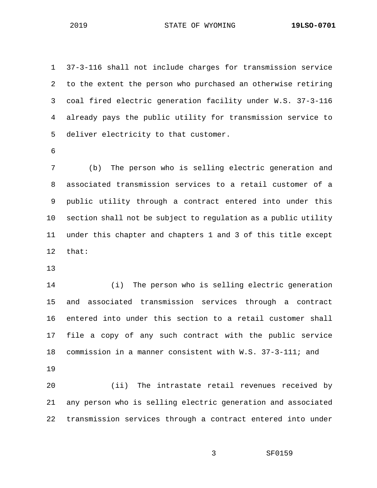1 37-3-116 shall not include charges for transmission service 2 to the extent the person who purchased an otherwise retiring 3 coal fired electric generation facility under W.S. 37-3-116 4 already pays the public utility for transmission service to 5 deliver electricity to that customer. 6 7 (b) The person who is selling electric generation and 8 associated transmission services to a retail customer of a 9 public utility through a contract entered into under this 10 section shall not be subject to regulation as a public utility 11 under this chapter and chapters 1 and 3 of this title except 12 that: 13

14 (i) The person who is selling electric generation 15 and associated transmission services through a contract 16 entered into under this section to a retail customer shall 17 file a copy of any such contract with the public service 18 commission in a manner consistent with W.S. 37-3-111; and 19

20 (ii) The intrastate retail revenues received by 21 any person who is selling electric generation and associated 22 transmission services through a contract entered into under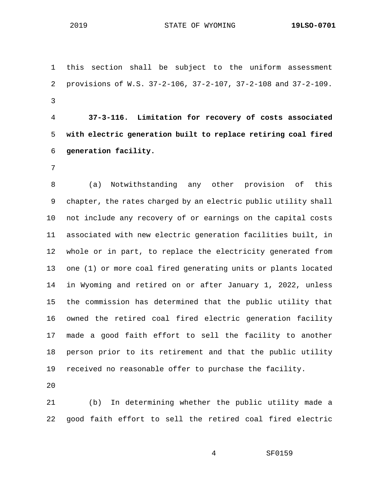1 this section shall be subject to the uniform assessment 2 provisions of W.S. 37-2-106, 37-2-107, 37-2-108 and 37-2-109. 3

4 **37-3-116. Limitation for recovery of costs associated**  5 **with electric generation built to replace retiring coal fired**  6 **generation facility.**

7

8 (a) Notwithstanding any other provision of this 9 chapter, the rates charged by an electric public utility shall 10 not include any recovery of or earnings on the capital costs 11 associated with new electric generation facilities built, in 12 whole or in part, to replace the electricity generated from 13 one (1) or more coal fired generating units or plants located 14 in Wyoming and retired on or after January 1, 2022, unless 15 the commission has determined that the public utility that 16 owned the retired coal fired electric generation facility 17 made a good faith effort to sell the facility to another 18 person prior to its retirement and that the public utility 19 received no reasonable offer to purchase the facility.

20

21 (b) In determining whether the public utility made a 22 good faith effort to sell the retired coal fired electric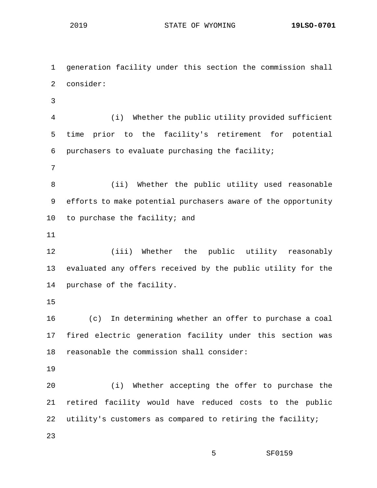1 generation facility under this section the commission shall 2 consider: 3 4 (i) Whether the public utility provided sufficient 5 time prior to the facility's retirement for potential 6 purchasers to evaluate purchasing the facility; 7 8 (ii) Whether the public utility used reasonable 9 efforts to make potential purchasers aware of the opportunity 10 to purchase the facility; and 11 12 (iii) Whether the public utility reasonably 13 evaluated any offers received by the public utility for the 14 purchase of the facility. 15 16 (c) In determining whether an offer to purchase a coal 17 fired electric generation facility under this section was 18 reasonable the commission shall consider: 19 20 (i) Whether accepting the offer to purchase the 21 retired facility would have reduced costs to the public 22 utility's customers as compared to retiring the facility; 23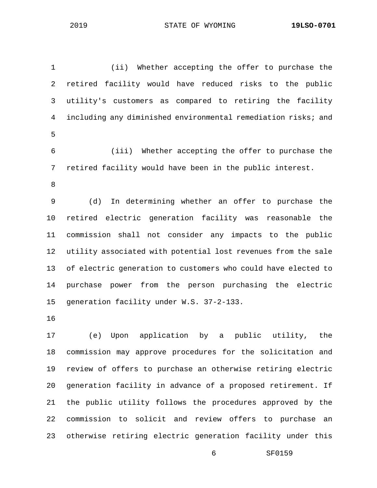1 (ii) Whether accepting the offer to purchase the 2 retired facility would have reduced risks to the public 3 utility's customers as compared to retiring the facility 4 including any diminished environmental remediation risks; and 5 6 (iii) Whether accepting the offer to purchase the 7 retired facility would have been in the public interest. 8 9 (d) In determining whether an offer to purchase the 10 retired electric generation facility was reasonable the 11 commission shall not consider any impacts to the public

12 utility associated with potential lost revenues from the sale 13 of electric generation to customers who could have elected to 14 purchase power from the person purchasing the electric 15 generation facility under W.S. 37-2-133.

16

17 (e) Upon application by a public utility, the 18 commission may approve procedures for the solicitation and 19 review of offers to purchase an otherwise retiring electric 20 generation facility in advance of a proposed retirement. If 21 the public utility follows the procedures approved by the 22 commission to solicit and review offers to purchase an 23 otherwise retiring electric generation facility under this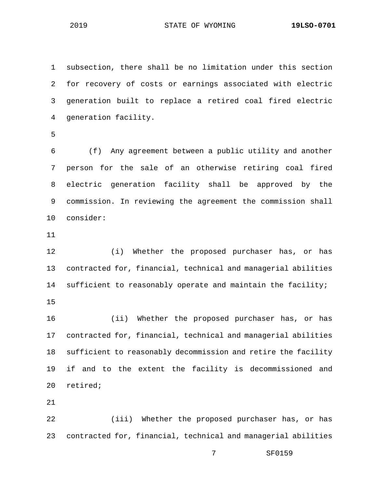2019 STATE OF WYOMING **19LSO-0701**

1 subsection, there shall be no limitation under this section 2 for recovery of costs or earnings associated with electric 3 generation built to replace a retired coal fired electric 4 generation facility. 5 6 (f) Any agreement between a public utility and another 7 person for the sale of an otherwise retiring coal fired 8 electric generation facility shall be approved by the 9 commission. In reviewing the agreement the commission shall 10 consider: 11 12 (i) Whether the proposed purchaser has, or has 13 contracted for, financial, technical and managerial abilities 14 sufficient to reasonably operate and maintain the facility; 15 16 (ii) Whether the proposed purchaser has, or has 17 contracted for, financial, technical and managerial abilities 18 sufficient to reasonably decommission and retire the facility 19 if and to the extent the facility is decommissioned and 20 retired; 21 22 (iii) Whether the proposed purchaser has, or has 23 contracted for, financial, technical and managerial abilities